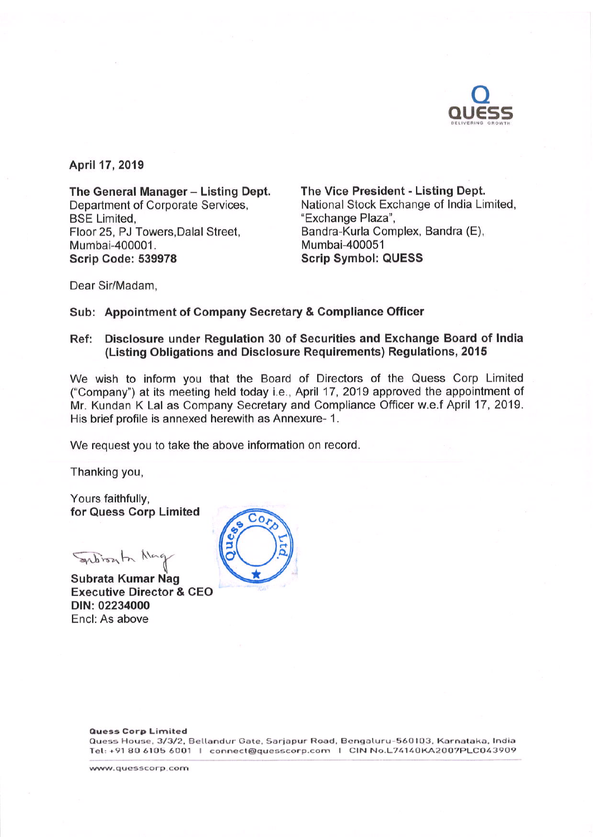

April 17, 2019

The General Manager - Listing Dept. Department of Corporate Services, **BSE Limited.** Floor 25, PJ Towers, Dalal Street, Mumbai-400001. Scrip Code: 539978

The Vice President - Listing Dept. National Stock Exchange of India Limited, "Exchange Plaza", Bandra-Kurla Complex, Bandra (E), Mumbai-400051 **Scrip Symbol: QUESS** 

Dear Sir/Madam,

# Sub: Appointment of Company Secretary & Compliance Officer

# Ref: Disclosure under Regulation 30 of Securities and Exchange Board of India (Listing Obligations and Disclosure Requirements) Regulations, 2015

We wish to inform you that the Board of Directors of the Quess Corp Limited ("Company") at its meeting held today i.e., April 17, 2019 approved the appointment of Mr. Kundan K Lal as Company Secretary and Compliance Officer w.e.f April 17, 2019. His brief profile is annexed herewith as Annexure- 1.

We request you to take the above information on record.

Thanking you,

Yours faithfully, for Quess Corp Limited

System the Na

Subrata Kumar Nag **Executive Director & CEO** DIN: 02234000 Encl: As above



#### **Quess Corp Limited**

Quess House, 3/3/2, Bellandur Gate, Sarjapur Road, Bengaluru-560103, Karnataka, India Tel: +91 80 6105 6001 | connect@quesscorp.com | CIN No.L74140KA2007PLC043909